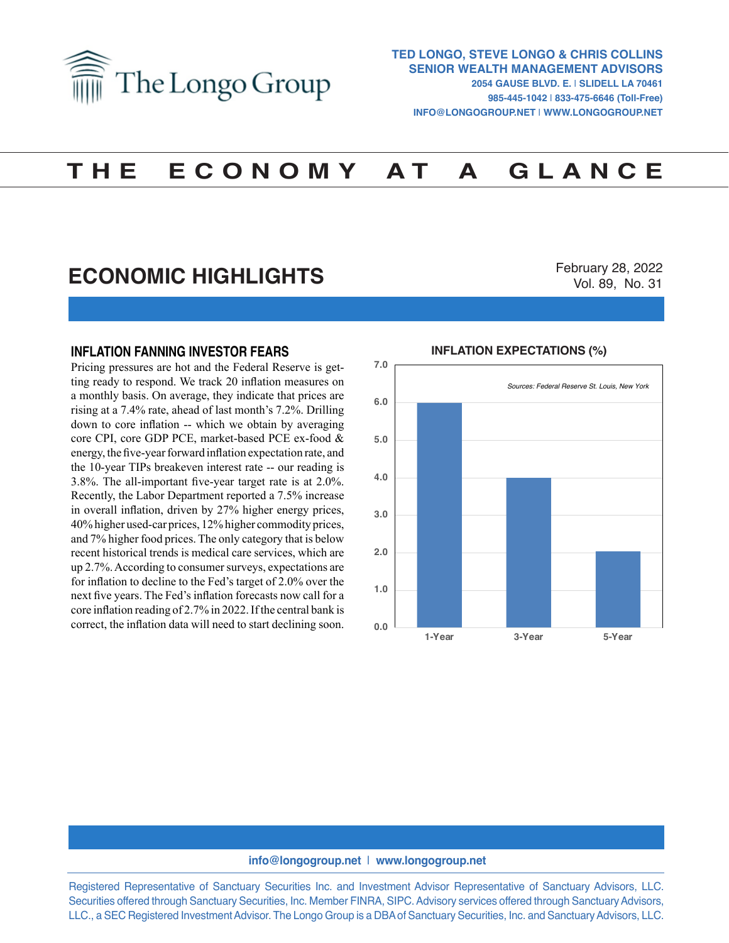

# **T H E E C O N O M Y A T A G L A N C E**

## **ECONOMIC HIGHLIGHTS**

February 28, 2022 Vol. 89, No. 31

#### **INFLATION FANNING INVESTOR FEARS**

Pricing pressures are hot and the Federal Reserve is getting ready to respond. We track 20 inflation measures on a monthly basis. On average, they indicate that prices are rising at a 7.4% rate, ahead of last month's 7.2%. Drilling down to core inflation -- which we obtain by averaging core CPI, core GDP PCE, market-based PCE ex-food & energy, the five-year forward inflation expectation rate, and the 10-year TIPs breakeven interest rate -- our reading is 3.8%. The all-important five-year target rate is at 2.0%. Recently, the Labor Department reported a 7.5% increase in overall inflation, driven by 27% higher energy prices, 40% higher used-car prices, 12% higher commodity prices, and 7% higher food prices. The only category that is below recent historical trends is medical care services, which are up 2.7%. According to consumer surveys, expectations are for inflation to decline to the Fed's target of 2.0% over the next five years. The Fed's inflation forecasts now call for a core inflation reading of 2.7% in 2022. If the central bank is correct, the inflation data will need to start declining soon.



### **INFLATION EXPECTATIONS (%)**

#### **info@longogroup.net** | **www.longogroup.net**

Registered Representative of Sanctuary Securities Inc. and Investment Advisor Representative of Sanctuary Advisors, LLC. Securities offered through Sanctuary Securities, Inc. Member FINRA, SIPC. Advisory services offered through Sanctuary Advisors, LLC., a SEC Registered Investment Advisor. The Longo Group is a DBA of Sanctuary Securities, Inc. and Sanctuary Advisors, LLC.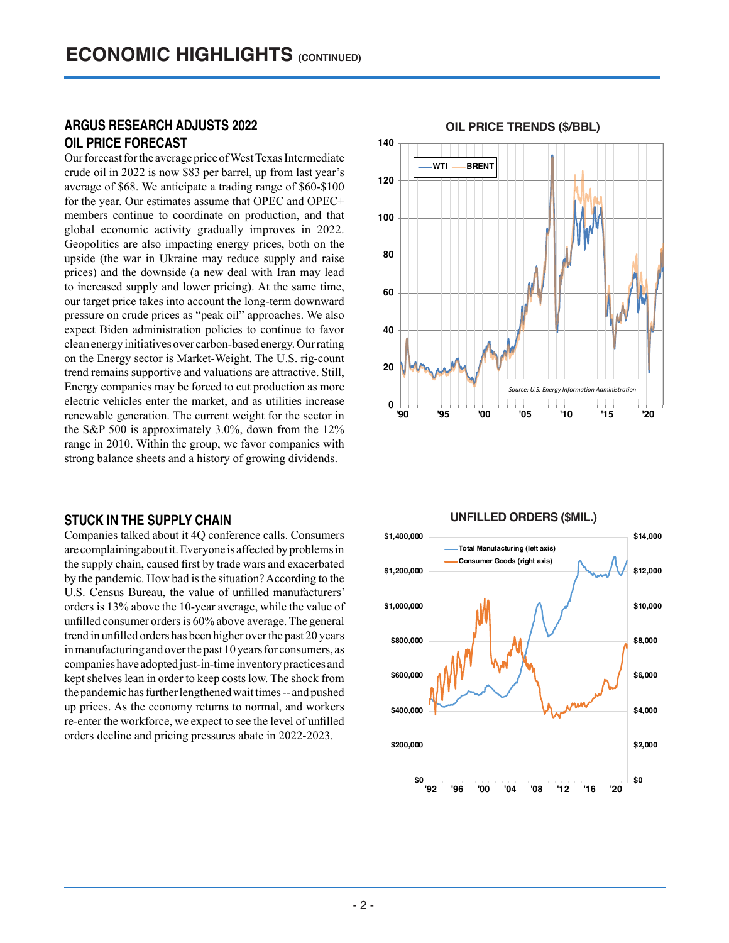## **ARGUS RESEARCH ADJUSTS 2022 OIL PRICE FORECAST**

Our forecast for the average price of West Texas Intermediate crude oil in 2022 is now \$83 per barrel, up from last year's average of \$68. We anticipate a trading range of \$60-\$100 for the year. Our estimates assume that OPEC and OPEC+ members continue to coordinate on production, and that global economic activity gradually improves in 2022. Geopolitics are also impacting energy prices, both on the upside (the war in Ukraine may reduce supply and raise prices) and the downside (a new deal with Iran may lead to increased supply and lower pricing). At the same time, our target price takes into account the long-term downward pressure on crude prices as "peak oil" approaches. We also expect Biden administration policies to continue to favor clean energy initiatives over carbon-based energy. Our rating on the Energy sector is Market-Weight. The U.S. rig-count trend remains supportive and valuations are attractive. Still, Energy companies may be forced to cut production as more electric vehicles enter the market, and as utilities increase renewable generation. The current weight for the sector in the S&P 500 is approximately 3.0%, down from the 12% range in 2010. Within the group, we favor companies with strong balance sheets and a history of growing dividends.

#### **STUCK IN THE SUPPLY CHAIN**

Companies talked about it 4Q conference calls. Consumers are complaining about it. Everyone is affected by problems in the supply chain, caused first by trade wars and exacerbated by the pandemic. How bad is the situation? According to the U.S. Census Bureau, the value of unfilled manufacturers' orders is 13% above the 10-year average, while the value of unfilled consumer orders is 60% above average. The general trend in unfilled orders has been higher over the past 20 years in manufacturing and over the past 10 years for consumers, as companies have adopted just-in-time inventory practices and kept shelves lean in order to keep costs low. The shock from the pandemic has further lengthened wait times -- and pushed up prices. As the economy returns to normal, and workers re-enter the workforce, we expect to see the level of unfilled orders decline and pricing pressures abate in 2022-2023.





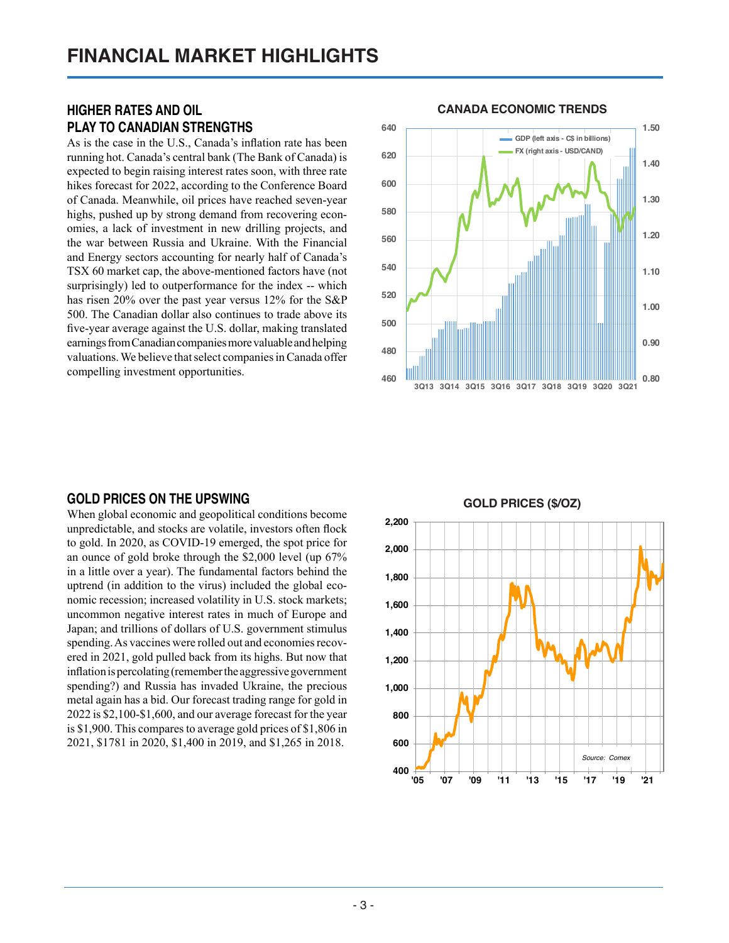## **HIGHER RATES AND OIL PLAY TO CANADIAN STRENGTHS**

As is the case in the U.S., Canada's inflation rate has been running hot. Canada's central bank (The Bank of Canada) is expected to begin raising interest rates soon, with three rate hikes forecast for 2022, according to the Conference Board of Canada. Meanwhile, oil prices have reached seven-year highs, pushed up by strong demand from recovering economies, a lack of investment in new drilling projects, and the war between Russia and Ukraine. With the Financial and Energy sectors accounting for nearly half of Canada's TSX 60 market cap, the above-mentioned factors have (not surprisingly) led to outperformance for the index -- which has risen 20% over the past year versus 12% for the S&P 500. The Canadian dollar also continues to trade above its five-year average against the U.S. dollar, making translated earnings from Canadian companies more valuable and helping valuations. We believe that select companies in Canada offer compelling investment opportunities.

## **CANADA ECONOMIC TRENDS CANADA ECONOMIC TRENDS**



#### **GOLD PRICES ON THE UPSWING**

When global economic and geopolitical conditions become unpredictable, and stocks are volatile, investors often flock to gold. In 2020, as COVID-19 emerged, the spot price for an ounce of gold broke through the \$2,000 level (up 67% in a little over a year). The fundamental factors behind the uptrend (in addition to the virus) included the global economic recession; increased volatility in U.S. stock markets; uncommon negative interest rates in much of Europe and Japan; and trillions of dollars of U.S. government stimulus spending. As vaccines were rolled out and economies recovered in 2021, gold pulled back from its highs. But now that inflation is percolating (remember the aggressive government spending?) and Russia has invaded Ukraine, the precious metal again has a bid. Our forecast trading range for gold in 2022 is \$2,100-\$1,600, and our average forecast for the year is \$1,900. This compares to average gold prices of \$1,806 in 2021, \$1781 in 2020, \$1,400 in 2019, and \$1,265 in 2018.